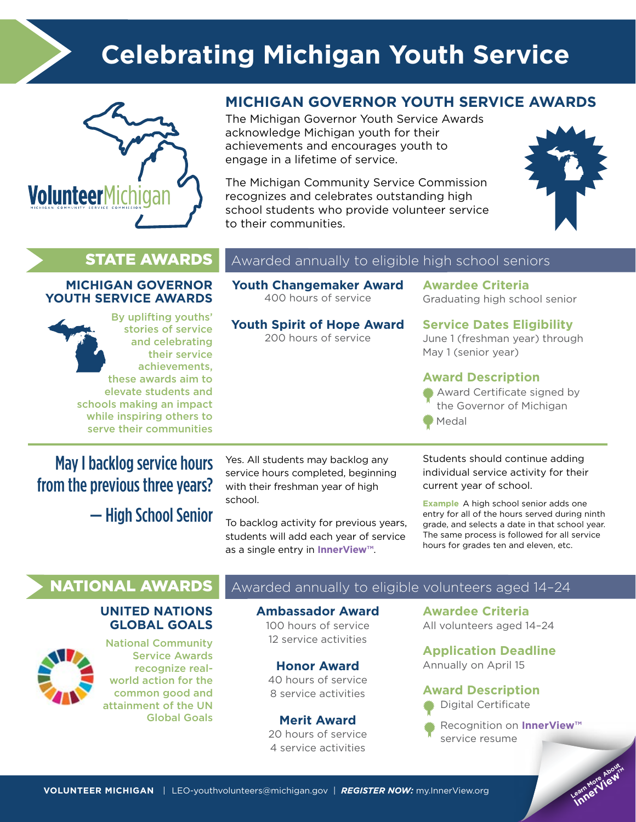

# **Celebrating Michigan Youth Service**



### **MICHIGAN GOVERNOR YOUTH SERVICE AWARDS**

The Michigan Governor Youth Service Awards acknowledge Michigan youth for their achievements and encourages youth to engage in a lifetime of service.

The Michigan Community Service Commission recognizes and celebrates outstanding high school students who provide volunteer service to their communities.



#### **MICHIGAN GOVERNOR YOUTH SERVICE AWARDS**

By uplifting youths' stories of service and celebrating their service achievements, these awards aim to elevate students and schools making an impact while inspiring others to serve their communities

### **STATE AWARDS** Awarded annually to eligible high school seniors

**Youth Changemaker Award** 400 hours of service

**Youth Spirit of Hope Award** 200 hours of service

#### **Awardee Criteria** Graduating high school senior

**Service Dates Eligibility** June 1 (freshman year) through May 1 (senior year)

#### **Award Description**

Award Certificate signed by the Governor of Michigan Medal

May I backlog service hours from the previous three years? — High School Senior Yes. All students may backlog any service hours completed, beginning with their freshman year of high school.

To backlog activity for previous years, students will add each year of service as a single entry in **InnerView™**.

Students should continue adding individual service activity for their current year of school.

**Example** A high school senior adds one entry for all of the hours served during ninth grade, and selects a date in that school year. The same process is followed for all service hours for grades ten and eleven, etc.

### **UNITED NATIONS GLOBAL GOALS**



National Community Service Awards recognize realworld action for the common good and attainment of the UN Global Goals

### **NATIONAL AWARDS** Awarded annually to eligible volunteers aged 14-24

**Ambassador Award** 100 hours of service 12 service activities

**Honor Award** 40 hours of service 8 service activities

**Merit Award** 20 hours of service 4 service activities

**Awardee Criteria** All volunteers aged 14–24

**Application Deadline** Annually on April 15

#### **Award Description**

Digital Certificate

Recognition on **InnerView™** service resume

> Learn More About **Innerview™**